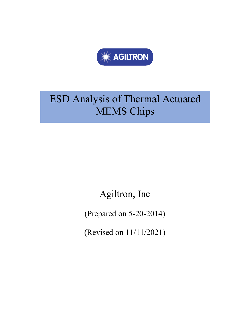

# ESD Analysis of Thermal Actuated MEMS Chips

Agiltron, Inc

(Prepared on 5-20-2014)

(Revised on 11/11/2021)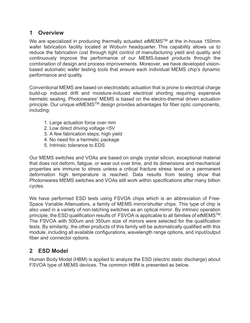### **1 Overview**

We are specialized in producing thermally actuated *et*MEMSTM at the in-house 150mm wafer fabrication facility located at Woburn headquarter. This capability allows us to reduce the fabrication cost through tight control of manufacturing yield and quality and continuously improve the performance of our MEMS-based products through the combination of design and process improvements. Moreover, we have developed visionbased automatic wafer testing tools that ensure each individual MEMS chip's dynamic performance and quality.

Conventional MEMS are based on electrostatic actuation that is prone to electrical charge build-up induced drift and moisture-induced electrical shorting requiring expensive hermetic sealing. Photonwares' MEMS is based on the electro-thermal driven actuation principle. Our unique etMEMS™ design provides advantages for fiber optic components, including:

- 1. Large actuation force over mm
- 2. Low direct driving voltage <5V
- 3. A few fabrication steps, high yield
- 4. No need for a hermetic package
- 5. Intrinsic tolerance to EDS

Our MEMS switches and VOAs are based on single crystal silicon, exceptional material that does not deform, fatigue, or wear out over time, and its dimensions and mechanical properties are immune to stress unless a critical fracture stress level or a permanent deformation high temperature is reached. Data results from testing show that Photonwares MEMS switches and VOAs still work within specifications after many billion cycles.

We have performed ESD tests using FSVOA chips which is an abbreviation of Free-Space Variable Attenuators, a family of MEMS mirror/shutter chips. This type of chip is also used in a variety of non-latching switches as an optical mirror. By intrinsic operation principle, the ESD qualification results of FSVOA is applicable to all families of *et*MEMSTM. The FSVOA with 500um and 350um size of mirrors were selected for the qualification tests. By similarity, the other products of this family will be automatically qualified with this module, including all available configurations, wavelength range options, and input/output fiber and connector options.

## **2 ESD Model**

Human Body Model (HBM) is applied to analyze the ESD (electric static discharge) about FSVOA type of MEMS devices. The common HBM is presented as below.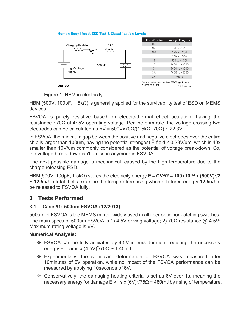#### **Human Body Model ESD Test & Classification Levels**



Figure 1: HBM in electricity

HBM (500V, 100pF, 1.5k $\Omega$ ) is generally applied for the survivability test of ESD on MEMS devices.

FSVOA is purely resistive based on electric-thermal effect actuation, having the resistance  $\sim$ 70 $\Omega$  at 4 $\sim$ 5V operating voltage. Per the ohm rule, the voltage crossing two electrodes can be calculated as  $\Delta V = 500Vx70\Omega/(1.5k\Omega+70\Omega) \approx 22.3V$ .

In FSVOA, the minimum gap between the positive and negative electrodes over the entire chip is larger than 100um, having the potential strongest E-field < 0.23V/um, which is 40x smaller than 10V/um commonly considered as the potential of voltage break-down. So, the voltage break-down isn't an issue anymore in FSVOA.

The next possible damage is mechanical, caused by the high temperature due to the charge releasing ESD.

HBM(500V, 100pF, 1.5k $\Omega$ ) stores the electricity energy  $E = CV^2/2 = 100x10^{-12} x (500V)^2/2$ **~ 12.5uJ** in total. Let's examine the temperature rising when all stored energy **12.5uJ** to be released to FSVOA fully.

## **3 Tests Performed**

#### **3.1 Case #1: 500um FSVOA (12/2013)**

500um of FSVOA is the MEMS mirror, widely used in all fiber optic non-latching switches. The main specs of 500um FSVOA is 1) 4.5V driving voltage; 2) 70 $\Omega$  resistance  $\omega$  4.5V; Maximum rating voltage is 6V.

#### **Numerical Analysis:**

- ❖ FSVOA can be fully activated by 4.5V in 5ms duration, requiring the necessary energy E = 5ms x  $(4.5V)^{2/70\Omega}$  ~ 1.45mJ.
- ❖ Experimentally, the significant deformation of FSVOA was measured after 10minutes of 6V operation, while no impact of the FSVOA performance can be measured by applying 10seconds of 6V.
- Conservatively, the damaging heating criteria is set as 6V over 1s, meaning the necessary energy for damage E > 1s x (6V)<sup>2</sup>/75 $\Omega$  ~ 480mJ by rising of temperature.